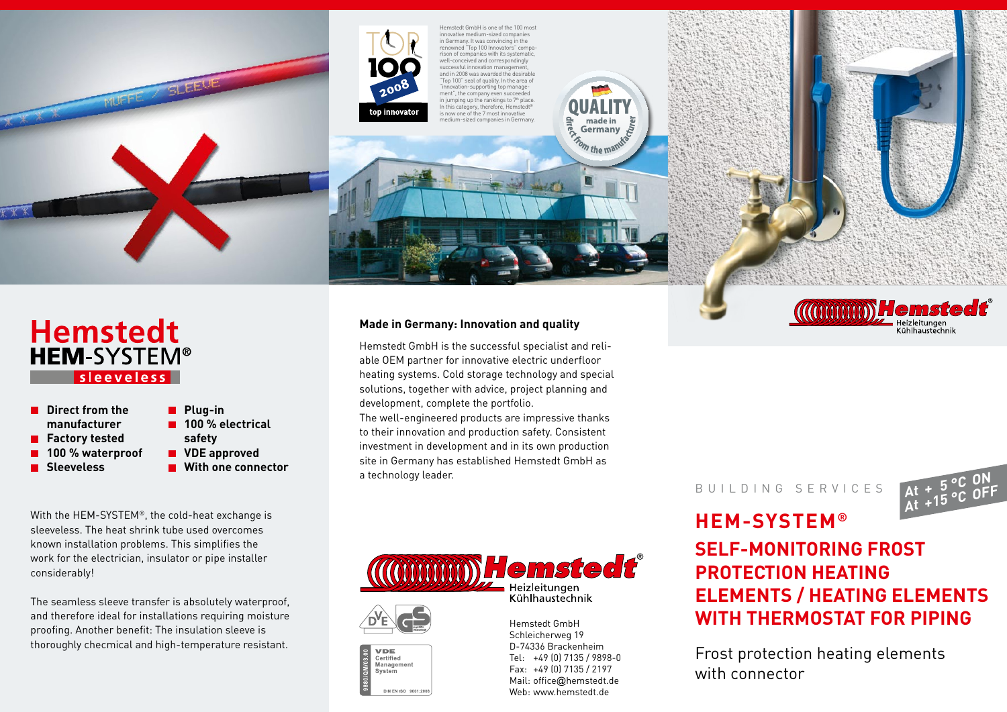



Hemstedt GmbH is one of the 100 most innovative medium-sized companies in Germany. It was convincing in the renowned "Top 100 Innovators" comparenoting the rison of companies with its systematic well-conceived and correspondingly successful innovation management, and in 2008 was awarded the desirable "Top 100" seal of quality. In the area of "innovation-supporting top management", the company even succeeded<br>in jumping up the rankings to 7th place. In this category, therefore, Hemstedt® is now one of the 7 most innovative medium-sized companies in Germany.





**Direct from the manufacturer ■ Factory tested 100 % waterproof Sleeveless safety**



With the HEM-SYSTEM®, the cold-heat exchange is sleeveless. The heat shrink tube used overcomes known installation problems. This simplifies the work for the electrician, insulator or pipe installer considerably!

The seamless sleeve transfer is absolutely waterproof, and therefore ideal for installations requiring moisture proofing. Another benefit: The insulation sleeve is thoroughly checmical and high-temperature resistant.

#### **Made in Germany: Innovation and quality**

Hemstedt GmbH is the successful specialist and reliable OEM partner for innovative electric underfloor heating systems. Cold storage technology and special solutions, together with advice, project planning and development, complete the portfolio.

The well-engineered products are impressive thanks to their innovation and production safety. Consistent investment in development and in its own production site in Germany has established Hemstedt GmbH as a technology leader.







DIN EN ISO 9001:2001

Hemstedt GmbH Schleicherweg 19 D-74336 Brackenheim Tel: +49 (0) 7135 / 9898-0 Fax: +49 (0) 7135 / 2197 Mail: office@hemstedt.de Web: www.hemstedt.de

BUILDING SERVICES



# **HEM-SYSTEM® Self-monitoring frost protection heating elements / heating elements with thermostat for piping**

Frost protection heating elements with connector